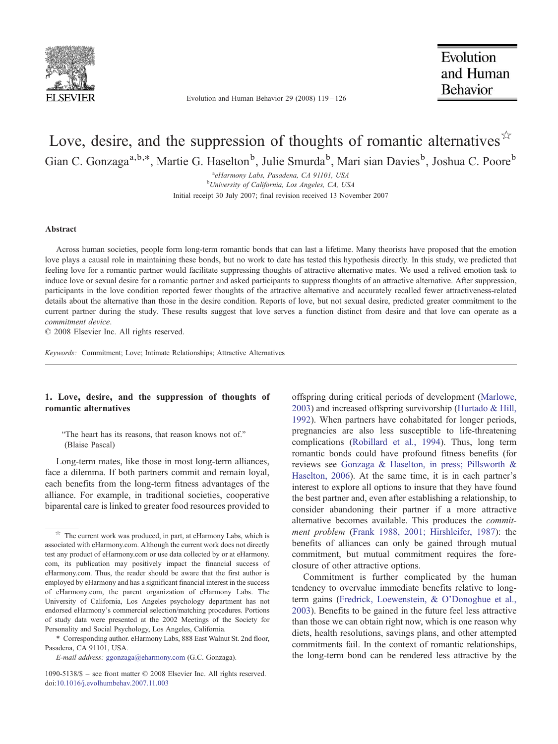

Evolution and Human Behavior 29 (2008) 119–126

Evolution and Human **Behavior** 

# Love, desire, and the suppression of thoughts of romantic alternatives  $\mathbb{R}^2$ Gian C. Gonzaga<sup>a,b,\*</sup>, Martie G. Haselton<sup>b</sup>, Julie Smurda<sup>b</sup>, Mari sian Davies<sup>b</sup>, Joshua C. Poore<sup>b</sup>

<sup>a</sup>eHarmony Labs, Pasadena, CA 91101, USA<br><sup>b</sup>University of California, Los Angeles, CA 118 <sup>b</sup>University of California, Los Angeles, CA, USA Initial receipt 30 July 2007; final revision received 13 November 2007

## Abstract

Across human societies, people form long-term romantic bonds that can last a lifetime. Many theorists have proposed that the emotion love plays a causal role in maintaining these bonds, but no work to date has tested this hypothesis directly. In this study, we predicted that feeling love for a romantic partner would facilitate suppressing thoughts of attractive alternative mates. We used a relived emotion task to induce love or sexual desire for a romantic partner and asked participants to suppress thoughts of an attractive alternative. After suppression, participants in the love condition reported fewer thoughts of the attractive alternative and accurately recalled fewer attractiveness-related details about the alternative than those in the desire condition. Reports of love, but not sexual desire, predicted greater commitment to the current partner during the study. These results suggest that love serves a function distinct from desire and that love can operate as a commitment device.

© 2008 Elsevier Inc. All rights reserved.

Keywords: Commitment; Love; Intimate Relationships; Attractive Alternatives

# 1. Love, desire, and the suppression of thoughts of romantic alternatives

"The heart has its reasons, that reason knows not of." (Blaise Pascal)

Long-term mates, like those in most long-term alliances, face a dilemma. If both partners commit and remain loyal, each benefits from the long-term fitness advantages of the alliance. For example, in traditional societies, cooperative biparental care is linked to greater food resources provided to offspring during critical periods of development ([Marlowe,](#page-7-0) [2003\)](#page-7-0) and increased offspring survivorship ([Hurtado & Hill,](#page-7-0) [1992\)](#page-7-0). When partners have cohabitated for longer periods, pregnancies are also less susceptible to life-threatening complications [\(Robillard et al., 1994\)](#page-7-0). Thus, long term romantic bonds could have profound fitness benefits (for reviews see [Gonzaga & Haselton, in press; Pillsworth &](#page-7-0) [Haselton, 2006\)](#page-7-0). At the same time, it is in each partner's interest to explore all options to insure that they have found the best partner and, even after establishing a relationship, to consider abandoning their partner if a more attractive alternative becomes available. This produces the commitment problem [\(Frank 1988, 2001; Hirshleifer, 1987](#page-7-0)): the benefits of alliances can only be gained through mutual commitment, but mutual commitment requires the foreclosure of other attractive options.

Commitment is further complicated by the human tendency to overvalue immediate benefits relative to longterm gains [\(Fredrick, Loewenstein, & O'Donoghue et al.,](#page-7-0) [2003\)](#page-7-0). Benefits to be gained in the future feel less attractive than those we can obtain right now, which is one reason why diets, health resolutions, savings plans, and other attempted commitments fail. In the context of romantic relationships, the long-term bond can be rendered less attractive by the

 $\overrightarrow{r}$  The current work was produced, in part, at eHarmony Labs, which is associated with eHarmony.com. Although the current work does not directly test any product of eHarmony.com or use data collected by or at eHarmony. com, its publication may positively impact the financial success of eHarmony.com. Thus, the reader should be aware that the first author is employed by eHarmony and has a significant financial interest in the success of eHarmony.com, the parent organization of eHarmony Labs. The University of California, Los Angeles psychology department has not endorsed eHarmony's commercial selection/matching procedures. Portions of study data were presented at the 2002 Meetings of the Society for Personality and Social Psychology, Los Angeles, California.

<sup>⁎</sup> Corresponding author. eHarmony Labs, 888 East Walnut St. 2nd floor, Pasadena, CA 91101, USA.

E-mail address: [ggonzaga@eharmony.com](mailto:ggonzaga@eharmony.com) (G.C. Gonzaga).

<sup>1090-5138/\$</sup> – see front matter © 2008 Elsevier Inc. All rights reserved. doi[:10.1016/j.evolhumbehav.2007.11.003](http://dx.doi.org/10.1016/j.evolhumbehav.2007.11.003)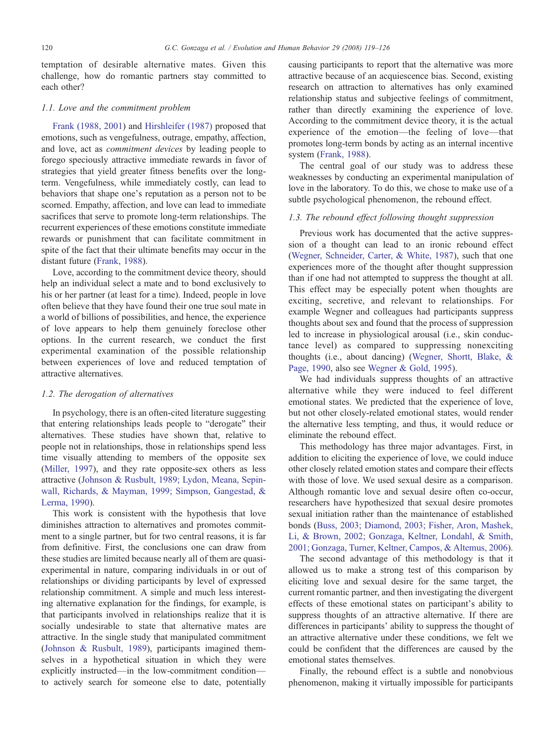temptation of desirable alternative mates. Given this challenge, how do romantic partners stay committed to each other?

## 1.1. Love and the commitment problem

[Frank \(1988, 2001\)](#page-7-0) and [Hirshleifer \(1987\)](#page-7-0) proposed that emotions, such as vengefulness, outrage, empathy, affection, and love, act as commitment devices by leading people to forego speciously attractive immediate rewards in favor of strategies that yield greater fitness benefits over the longterm. Vengefulness, while immediately costly, can lead to behaviors that shape one's reputation as a person not to be scorned. Empathy, affection, and love can lead to immediate sacrifices that serve to promote long-term relationships. The recurrent experiences of these emotions constitute immediate rewards or punishment that can facilitate commitment in spite of the fact that their ultimate benefits may occur in the distant future [\(Frank, 1988\)](#page-7-0).

Love, according to the commitment device theory, should help an individual select a mate and to bond exclusively to his or her partner (at least for a time). Indeed, people in love often believe that they have found their one true soul mate in a world of billions of possibilities, and hence, the experience of love appears to help them genuinely foreclose other options. In the current research, we conduct the first experimental examination of the possible relationship between experiences of love and reduced temptation of attractive alternatives.

# 1.2. The derogation of alternatives

In psychology, there is an often-cited literature suggesting that entering relationships leads people to "derogate" their alternatives. These studies have shown that, relative to people not in relationships, those in relationships spend less time visually attending to members of the opposite sex [\(Miller, 1997\)](#page-7-0), and they rate opposite-sex others as less attractive ([Johnson & Rusbult, 1989; Lydon, Meana, Sepin](#page-7-0)[wall, Richards, & Mayman, 1999; Simpson, Gangestad, &](#page-7-0) [Lerma, 1990](#page-7-0)).

This work is consistent with the hypothesis that love diminishes attraction to alternatives and promotes commitment to a single partner, but for two central reasons, it is far from definitive. First, the conclusions one can draw from these studies are limited because nearly all of them are quasiexperimental in nature, comparing individuals in or out of relationships or dividing participants by level of expressed relationship commitment. A simple and much less interesting alternative explanation for the findings, for example, is that participants involved in relationships realize that it is socially undesirable to state that alternative mates are attractive. In the single study that manipulated commitment [\(Johnson & Rusbult, 1989](#page-7-0)), participants imagined themselves in a hypothetical situation in which they were explicitly instructed—in the low-commitment condition to actively search for someone else to date, potentially

causing participants to report that the alternative was more attractive because of an acquiescence bias. Second, existing research on attraction to alternatives has only examined relationship status and subjective feelings of commitment, rather than directly examining the experience of love. According to the commitment device theory, it is the actual experience of the emotion—the feeling of love—that promotes long-term bonds by acting as an internal incentive system ([Frank, 1988](#page-7-0)).

The central goal of our study was to address these weaknesses by conducting an experimental manipulation of love in the laboratory. To do this, we chose to make use of a subtle psychological phenomenon, the rebound effect.

# 1.3. The rebound effect following thought suppression

Previous work has documented that the active suppression of a thought can lead to an ironic rebound effect [\(Wegner, Schneider, Carter, & White, 1987\)](#page-7-0), such that one experiences more of the thought after thought suppression than if one had not attempted to suppress the thought at all. This effect may be especially potent when thoughts are exciting, secretive, and relevant to relationships. For example Wegner and colleagues had participants suppress thoughts about sex and found that the process of suppression led to increase in physiological arousal (i.e., skin conductance level) as compared to suppressing nonexciting thoughts (i.e., about dancing) ([Wegner, Shortt, Blake, &](#page-7-0) [Page, 1990,](#page-7-0) also see [Wegner & Gold, 1995](#page-7-0)).

We had individuals suppress thoughts of an attractive alternative while they were induced to feel different emotional states. We predicted that the experience of love, but not other closely-related emotional states, would render the alternative less tempting, and thus, it would reduce or eliminate the rebound effect.

This methodology has three major advantages. First, in addition to eliciting the experience of love, we could induce other closely related emotion states and compare their effects with those of love. We used sexual desire as a comparison. Although romantic love and sexual desire often co-occur, researchers have hypothesized that sexual desire promotes sexual initiation rather than the maintenance of established bonds [\(Buss, 2003; Diamond, 2003; Fisher, Aron, Mashek,](#page-7-0) [Li, & Brown, 2002; Gonzaga, Keltner, Londahl, & Smith,](#page-7-0) [2001; Gonzaga, Turner, Keltner, Campos, & Altemus, 2006](#page-7-0)).

The second advantage of this methodology is that it allowed us to make a strong test of this comparison by eliciting love and sexual desire for the same target, the current romantic partner, and then investigating the divergent effects of these emotional states on participant's ability to suppress thoughts of an attractive alternative. If there are differences in participants' ability to suppress the thought of an attractive alternative under these conditions, we felt we could be confident that the differences are caused by the emotional states themselves.

Finally, the rebound effect is a subtle and nonobvious phenomenon, making it virtually impossible for participants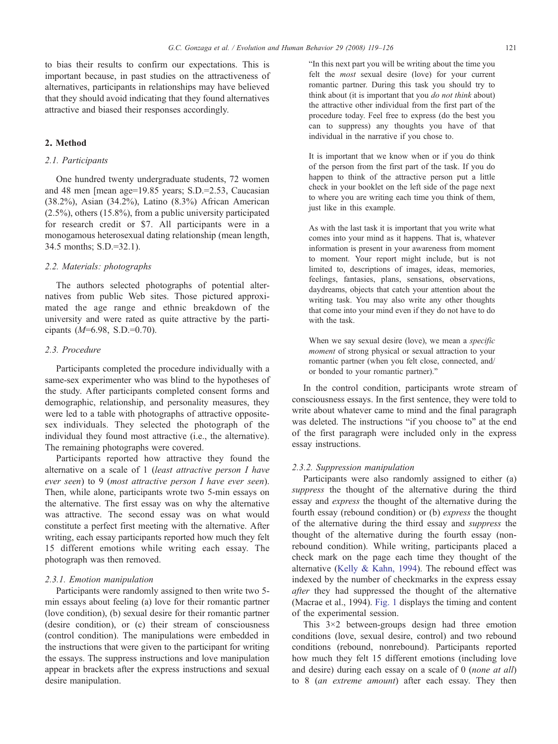to bias their results to confirm our expectations. This is important because, in past studies on the attractiveness of alternatives, participants in relationships may have believed that they should avoid indicating that they found alternatives attractive and biased their responses accordingly.

#### 2. Method

#### 2.1. Participants

One hundred twenty undergraduate students, 72 women and 48 men [mean age=19.85 years; S.D.=2.53, Caucasian (38.2%), Asian (34.2%), Latino (8.3%) African American (2.5%), others (15.8%), from a public university participated for research credit or \$7. All participants were in a monogamous heterosexual dating relationship (mean length, 34.5 months; S.D.=32.1).

#### 2.2. Materials: photographs

The authors selected photographs of potential alternatives from public Web sites. Those pictured approximated the age range and ethnic breakdown of the university and were rated as quite attractive by the participants  $(M=6.98, S.D.=0.70)$ .

## 2.3. Procedure

Participants completed the procedure individually with a same-sex experimenter who was blind to the hypotheses of the study. After participants completed consent forms and demographic, relationship, and personality measures, they were led to a table with photographs of attractive oppositesex individuals. They selected the photograph of the individual they found most attractive (i.e., the alternative). The remaining photographs were covered.

Participants reported how attractive they found the alternative on a scale of 1 (least attractive person I have ever seen) to 9 (most attractive person I have ever seen). Then, while alone, participants wrote two 5-min essays on the alternative. The first essay was on why the alternative was attractive. The second essay was on what would constitute a perfect first meeting with the alternative. After writing, each essay participants reported how much they felt 15 different emotions while writing each essay. The photograph was then removed.

#### 2.3.1. Emotion manipulation

Participants were randomly assigned to then write two 5 min essays about feeling (a) love for their romantic partner (love condition), (b) sexual desire for their romantic partner (desire condition), or (c) their stream of consciousness (control condition). The manipulations were embedded in the instructions that were given to the participant for writing the essays. The suppress instructions and love manipulation appear in brackets after the express instructions and sexual desire manipulation.

"In this next part you will be writing about the time you felt the most sexual desire (love) for your current romantic partner. During this task you should try to think about (it is important that you *do not think* about) the attractive other individual from the first part of the procedure today. Feel free to express (do the best you can to suppress) any thoughts you have of that individual in the narrative if you chose to.

It is important that we know when or if you do think of the person from the first part of the task. If you do happen to think of the attractive person put a little check in your booklet on the left side of the page next to where you are writing each time you think of them, just like in this example.

As with the last task it is important that you write what comes into your mind as it happens. That is, whatever information is present in your awareness from moment to moment. Your report might include, but is not limited to, descriptions of images, ideas, memories, feelings, fantasies, plans, sensations, observations, daydreams, objects that catch your attention about the writing task. You may also write any other thoughts that come into your mind even if they do not have to do with the task.

When we say sexual desire (love), we mean a specific moment of strong physical or sexual attraction to your romantic partner (when you felt close, connected, and/ or bonded to your romantic partner)."

In the control condition, participants wrote stream of consciousness essays. In the first sentence, they were told to write about whatever came to mind and the final paragraph was deleted. The instructions "if you choose to" at the end of the first paragraph were included only in the express essay instructions.

#### 2.3.2. Suppression manipulation

Participants were also randomly assigned to either (a) suppress the thought of the alternative during the third essay and express the thought of the alternative during the fourth essay (rebound condition) or (b) express the thought of the alternative during the third essay and suppress the thought of the alternative during the fourth essay (nonrebound condition). While writing, participants placed a check mark on the page each time they thought of the alternative [\(Kelly & Kahn, 1994\)](#page-7-0). The rebound effect was indexed by the number of checkmarks in the express essay after they had suppressed the thought of the alternative (Macrae et al., 1994). [Fig. 1](#page-3-0) displays the timing and content of the experimental session.

This 3×2 between-groups design had three emotion conditions (love, sexual desire, control) and two rebound conditions (rebound, nonrebound). Participants reported how much they felt 15 different emotions (including love and desire) during each essay on a scale of 0 (*none at all*) to 8 (an extreme amount) after each essay. They then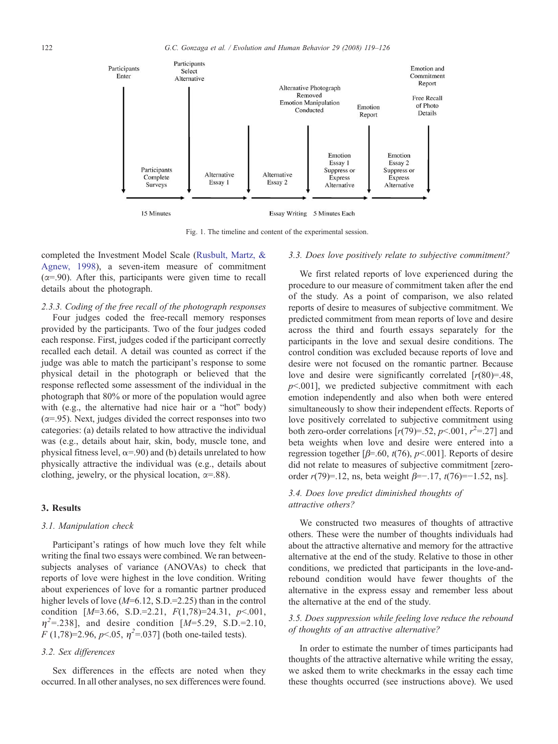<span id="page-3-0"></span>

Fig. 1. The timeline and content of the experimental session.

completed the Investment Model Scale [\(Rusbult, Martz, &](#page-7-0) [Agnew, 1998](#page-7-0)), a seven-item measure of commitment  $(\alpha = .90)$ . After this, participants were given time to recall details about the photograph.

#### 2.3.3. Coding of the free recall of the photograph responses

Four judges coded the free-recall memory responses provided by the participants. Two of the four judges coded each response. First, judges coded if the participant correctly recalled each detail. A detail was counted as correct if the judge was able to match the participant's response to some physical detail in the photograph or believed that the response reflected some assessment of the individual in the photograph that 80% or more of the population would agree with (e.g., the alternative had nice hair or a "hot" body)  $(\alpha = 0.95)$ . Next, judges divided the correct responses into two categories: (a) details related to how attractive the individual was (e.g., details about hair, skin, body, muscle tone, and physical fitness level,  $\alpha$ =.90) and (b) details unrelated to how physically attractive the individual was (e.g., details about clothing, jewelry, or the physical location,  $\alpha = .88$ ).

# 3. Results

## 3.1. Manipulation check

Participant's ratings of how much love they felt while writing the final two essays were combined. We ran betweensubjects analyses of variance (ANOVAs) to check that reports of love were highest in the love condition. Writing about experiences of love for a romantic partner produced higher levels of love  $(M=6.12, S.D.=2.25)$  than in the control condition  $[M=3.66, S.D.=2.21, F(1,78)=24.31, p<0.001,$  $\eta^2$ =.238], and desire condition [M=5.29, S.D.=2.10,  $F(1,78)=2.96, p<.05, \eta^2=0.037$  (both one-tailed tests).

# 3.2. Sex differences

Sex differences in the effects are noted when they occurred. In all other analyses, no sex differences were found.

#### 3.3. Does love positively relate to subjective commitment?

We first related reports of love experienced during the procedure to our measure of commitment taken after the end of the study. As a point of comparison, we also related reports of desire to measures of subjective commitment. We predicted commitment from mean reports of love and desire across the third and fourth essays separately for the participants in the love and sexual desire conditions. The control condition was excluded because reports of love and desire were not focused on the romantic partner. Because love and desire were significantly correlated  $[r(80)=.48]$ ,  $p<0.001$ , we predicted subjective commitment with each emotion independently and also when both were entered simultaneously to show their independent effects. Reports of love positively correlated to subjective commitment using both zero-order correlations  $[r(79)=52, p<.001, r^2=.27]$  and beta weights when love and desire were entered into a regression together [ $\beta$ =.60,  $t(76)$ ,  $p$ <.001]. Reports of desire did not relate to measures of subjective commitment [zeroorder  $r(79)=12$ , ns, beta weight  $\beta=-17$ ,  $t(76)=-1.52$ , ns].

# 3.4. Does love predict diminished thoughts of attractive others?

We constructed two measures of thoughts of attractive others. These were the number of thoughts individuals had about the attractive alternative and memory for the attractive alternative at the end of the study. Relative to those in other conditions, we predicted that participants in the love-andrebound condition would have fewer thoughts of the alternative in the express essay and remember less about the alternative at the end of the study.

# 3.5. Does suppression while feeling love reduce the rebound of thoughts of an attractive alternative?

In order to estimate the number of times participants had thoughts of the attractive alternative while writing the essay, we asked them to write checkmarks in the essay each time these thoughts occurred (see instructions above). We used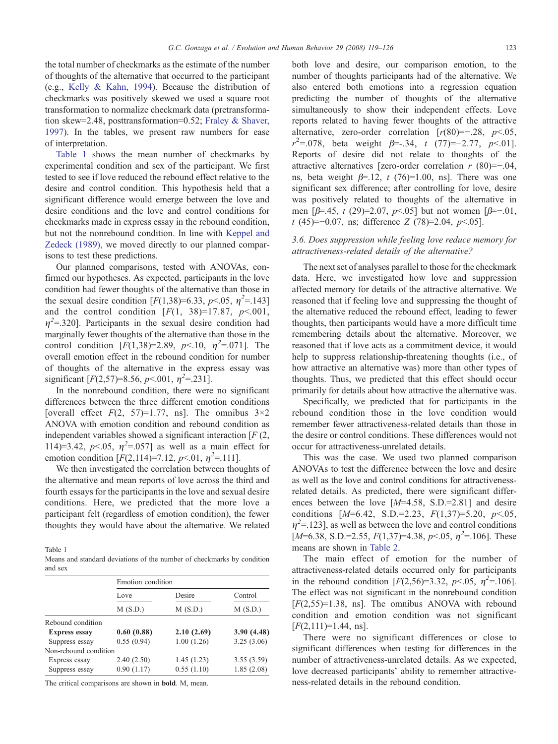the total number of checkmarks as the estimate of the number of thoughts of the alternative that occurred to the participant (e.g., [Kelly & Kahn, 1994\)](#page-7-0). Because the distribution of checkmarks was positively skewed we used a square root transformation to normalize checkmark data (pretransformation skew=2.48, posttransformation=0.52; [Fraley & Shaver,](#page-7-0) [1997\)](#page-7-0). In the tables, we present raw numbers for ease of interpretation.

Table 1 shows the mean number of checkmarks by experimental condition and sex of the participant. We first tested to see if love reduced the rebound effect relative to the desire and control condition. This hypothesis held that a significant difference would emerge between the love and desire conditions and the love and control conditions for checkmarks made in express essay in the rebound condition, but not the nonrebound condition. In line with [Keppel and](#page-7-0) [Zedeck \(1989\),](#page-7-0) we moved directly to our planned comparisons to test these predictions.

Our planned comparisons, tested with ANOVAs, confirmed our hypotheses. As expected, participants in the love condition had fewer thoughts of the alternative than those in the sexual desire condition  $[F(1,38)=6.33, p<.05, \eta^2=143]$ and the control condition  $[F(1, 38)=17.87, p<.001,$  $\eta^2$ =.320]. Participants in the sexual desire condition had marginally fewer thoughts of the alternative than those in the control condition [ $F(1,38)=2.89$ ,  $p<10$ ,  $\eta^2=0.071$ ]. The overall emotion effect in the rebound condition for number of thoughts of the alternative in the express essay was significant [ $F(2,57)=8.56$ ,  $p<.001$ ,  $\eta^2=.231$ ].

In the nonrebound condition, there were no significant differences between the three different emotion conditions [overall effect  $F(2, 57)=1.77$ , ns]. The omnibus  $3\times 2$ ANOVA with emotion condition and rebound condition as independent variables showed a significant interaction  $[F(2, \cdot)]$ 114)=3.42,  $p<0.05$ ,  $\eta^2$ =.057] as well as a main effect for emotion condition  $[F(2,114)=7.12, p<0.01, \eta^2=0.111]$ .

We then investigated the correlation between thoughts of the alternative and mean reports of love across the third and fourth essays for the participants in the love and sexual desire conditions. Here, we predicted that the more love a participant felt (regardless of emotion condition), the fewer thoughts they would have about the alternative. We related

Table 1

Means and standard deviations of the number of checkmarks by condition and sex

|                       |                 | Emotion condition |                    |  |  |
|-----------------------|-----------------|-------------------|--------------------|--|--|
|                       | Love<br>M(S.D.) | Desire<br>M(S.D.) | Control<br>M(S.D.) |  |  |
|                       |                 |                   |                    |  |  |
| Rebound condition     |                 |                   |                    |  |  |
| <b>Express essay</b>  | 0.60(0.88)      | 2.10(2.69)        | 3.90(4.48)         |  |  |
| Suppress essay        | 0.55(0.94)      | 1.00(1.26)        | 3.25(3.06)         |  |  |
| Non-rebound condition |                 |                   |                    |  |  |
| Express essay         | 2.40(2.50)      | 1.45(1.23)        | 3.55(3.59)         |  |  |
| Suppress essay        | 0.90(1.17)      | 0.55(1.10)        | 1.85(2.08)         |  |  |

The critical comparisons are shown in bold. M, mean.

both love and desire, our comparison emotion, to the number of thoughts participants had of the alternative. We also entered both emotions into a regression equation predicting the number of thoughts of the alternative simultaneously to show their independent effects. Love reports related to having fewer thoughts of the attractive alternative, zero-order correlation  $[r(80)=-.28, p<.05,$  $r^2 = 0.078$ , beta weight  $\beta = -0.34$ , t (77)=-2.77, p<01]. Reports of desire did not relate to thoughts of the attractive alternatives [zero-order correlation  $r(80)=-.04$ , ns, beta weight  $\beta$ =.12, t (76)=1.00, ns]. There was one significant sex difference; after controlling for love, desire was positively related to thoughts of the alternative in men  $[\beta=45, t (29)=2.07, p<0.05]$  but not women  $[\beta=-.01,$ t (45)=−0.07, ns; difference Z (78)=2.04,  $p<.05$ ].

## 3.6. Does suppression while feeling love reduce memory for attractiveness-related details of the alternative?

The next set of analyses parallel to those for the checkmark data. Here, we investigated how love and suppression affected memory for details of the attractive alternative. We reasoned that if feeling love and suppressing the thought of the alternative reduced the rebound effect, leading to fewer thoughts, then participants would have a more difficult time remembering details about the alternative. Moreover, we reasoned that if love acts as a commitment device, it would help to suppress relationship-threatening thoughts (i.e., of how attractive an alternative was) more than other types of thoughts. Thus, we predicted that this effect should occur primarily for details about how attractive the alternative was.

Specifically, we predicted that for participants in the rebound condition those in the love condition would remember fewer attractiveness-related details than those in the desire or control conditions. These differences would not occur for attractiveness-unrelated details.

This was the case. We used two planned comparison ANOVAs to test the difference between the love and desire as well as the love and control conditions for attractivenessrelated details. As predicted, there were significant differences between the love  $[M=4.58, S.D.=2.81]$  and desire conditions  $[M=6.42, S.D.=2.23, F(1,37)=5.20, p<.05,$  $\eta^2$ =.123], as well as between the love and control conditions [ $M=6.38$ , S.D.=2.55,  $F(1,37)=4.38$ ,  $p<.05$ ,  $\eta^2=106$ ]. These means are shown in [Table 2](#page-5-0).

The main effect of emotion for the number of attractiveness-related details occurred only for participants in the rebound condition  $[F(2,56)=3.32, p<.05, \eta^2=.106]$ . The effect was not significant in the nonrebound condition  $[F(2,55)=1.38, \text{ ns}]$ . The omnibus ANOVA with rebound condition and emotion condition was not significant  $[F(2,111)=1.44, \text{ ns}].$ 

There were no significant differences or close to significant differences when testing for differences in the number of attractiveness-unrelated details. As we expected, love decreased participants' ability to remember attractiveness-related details in the rebound condition.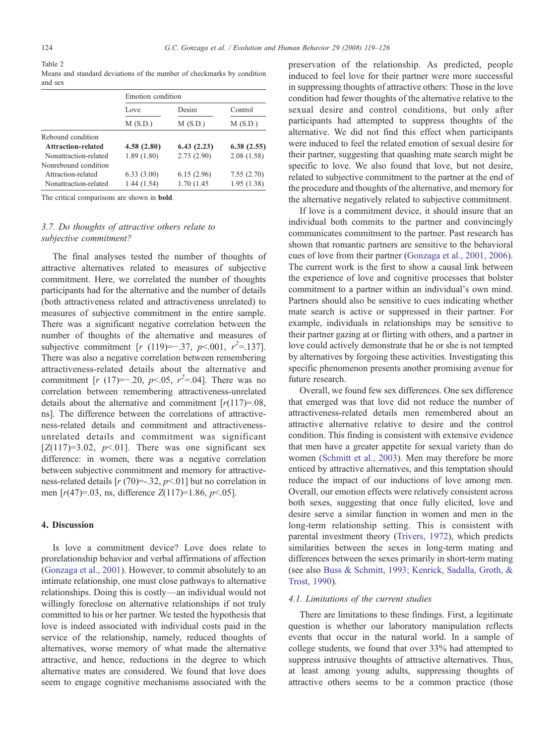<span id="page-5-0"></span>

| Table 2                                                                |  |
|------------------------------------------------------------------------|--|
| Means and standard deviations of the number of checkmarks by condition |  |
| and sex                                                                |  |

|                       | Emotion condition |                   |                    |  |
|-----------------------|-------------------|-------------------|--------------------|--|
|                       | Love<br>M(S.D.)   | Desire<br>M(S.D.) | Control<br>M(S.D.) |  |
|                       |                   |                   |                    |  |
| Rebound condition     |                   |                   |                    |  |
| Attraction-related    | 4.58(2.80)        | 6.43(2.23)        | 6.38(2.55)         |  |
| Nonattraction-related | 1.89(1.80)        | 2.73(2.90)        | 2.08(1.58)         |  |
| Nonrebound condition  |                   |                   |                    |  |
| Attraction-related    | 6.33(3.00)        | 6.15(2.96)        | 7.55(2.70)         |  |
| Nonattraction-related | 1.44(1.54)        | 1.70 (1.45)       | 1.95(1.38)         |  |

The critical comparisons are shown in bold.

# 3.7. Do thoughts of attractive others relate to subjective commitment?

The final analyses tested the number of thoughts of attractive alternatives related to measures of subjective commitment. Here, we correlated the number of thoughts participants had for the alternative and the number of details (both attractiveness related and attractiveness unrelated) to measures of subjective commitment in the entire sample. There was a significant negative correlation between the number of thoughts of the alternative and measures of subjective commitment [ $r$  (119)=-.37,  $p$ <.001,  $r^2$ =.137]. There was also a negative correlation between remembering attractiveness-related details about the alternative and commitment [ $r(17) = -0.20$ ,  $p < 0.05$ ,  $r^2 = 0.04$ ]. There was no correlation between remembering attractiveness-unrelated details about the alternative and commitment  $[r(117)=.08]$ , ns]. The difference between the correlations of attractiveness-related details and commitment and attractivenessunrelated details and commitment was significant  $[Z(117)=3.02, p<.01]$ . There was one significant sex difference: in women, there was a negative correlation between subjective commitment and memory for attractiveness-related details  $[r (70) = .32, p < .01]$  but no correlation in men  $[r(47)=.03$ , ns, difference  $Z(117)=1.86$ ,  $p<.05$ ].

# 4. Discussion

Is love a commitment device? Love does relate to prorelationship behavior and verbal affirmations of affection [\(Gonzaga et al., 2001\)](#page-7-0). However, to commit absolutely to an intimate relationship, one must close pathways to alternative relationships. Doing this is costly—an individual would not willingly foreclose on alternative relationships if not truly committed to his or her partner. We tested the hypothesis that love is indeed associated with individual costs paid in the service of the relationship, namely, reduced thoughts of alternatives, worse memory of what made the alternative attractive, and hence, reductions in the degree to which alternative mates are considered. We found that love does seem to engage cognitive mechanisms associated with the

preservation of the relationship. As predicted, people induced to feel love for their partner were more successful in suppressing thoughts of attractive others: Those in the love condition had fewer thoughts of the alternative relative to the sexual desire and control conditions, but only after participants had attempted to suppress thoughts of the alternative. We did not find this effect when participants were induced to feel the related emotion of sexual desire for their partner, suggesting that quashing mate search might be specific to love. We also found that love, but not desire, related to subjective commitment to the partner at the end of the procedure and thoughts of the alternative, and memory for the alternative negatively related to subjective commitment.

If love is a commitment device, it should insure that an individual both commits to the partner and convincingly communicates commitment to the partner. Past research has shown that romantic partners are sensitive to the behavioral cues of love from their partner [\(Gonzaga et al., 2001, 2006](#page-7-0)). The current work is the first to show a causal link between the experience of love and cognitive processes that bolster commitment to a partner within an individual's own mind. Partners should also be sensitive to cues indicating whether mate search is active or suppressed in their partner. For example, individuals in relationships may be sensitive to their partner gazing at or flirting with others, and a partner in love could actively demonstrate that he or she is not tempted by alternatives by forgoing these activities. Investigating this specific phenomenon presents another promising avenue for future research.

Overall, we found few sex differences. One sex difference that emerged was that love did not reduce the number of attractiveness-related details men remembered about an attractive alternative relative to desire and the control condition. This finding is consistent with extensive evidence that men have a greater appetite for sexual variety than do women ([Schmitt et al., 2003\)](#page-7-0). Men may therefore be more enticed by attractive alternatives, and this temptation should reduce the impact of our inductions of love among men. Overall, our emotion effects were relatively consistent across both sexes, suggesting that once fully elicited, love and desire serve a similar function in women and men in the long-term relationship setting. This is consistent with parental investment theory ([Trivers, 1972](#page-7-0)), which predicts similarities between the sexes in long-term mating and differences between the sexes primarily in short-term mating (see also [Buss & Schmitt, 1993; Kenrick, Sadalla, Groth, &](#page-7-0) [Trost, 1990](#page-7-0)).

#### 4.1. Limitations of the current studies

There are limitations to these findings. First, a legitimate question is whether our laboratory manipulation reflects events that occur in the natural world. In a sample of college students, we found that over 33% had attempted to suppress intrusive thoughts of attractive alternatives. Thus, at least among young adults, suppressing thoughts of attractive others seems to be a common practice (those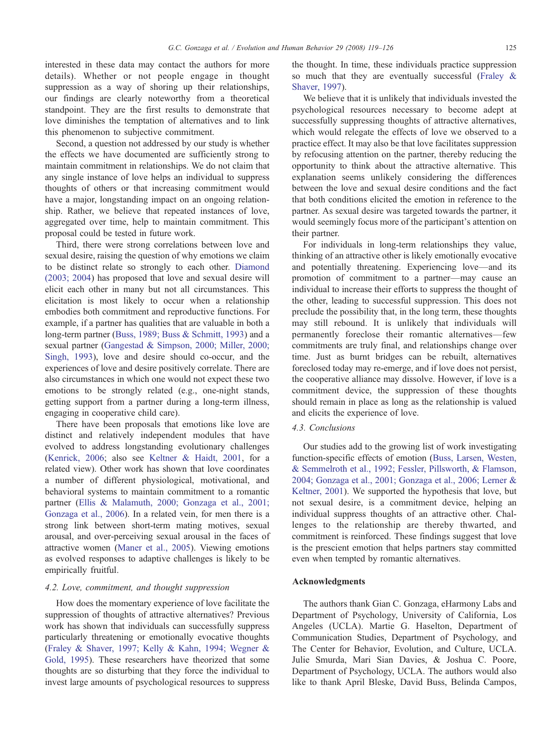interested in these data may contact the authors for more details). Whether or not people engage in thought suppression as a way of shoring up their relationships, our findings are clearly noteworthy from a theoretical standpoint. They are the first results to demonstrate that love diminishes the temptation of alternatives and to link this phenomenon to subjective commitment.

Second, a question not addressed by our study is whether the effects we have documented are sufficiently strong to maintain commitment in relationships. We do not claim that any single instance of love helps an individual to suppress thoughts of others or that increasing commitment would have a major, longstanding impact on an ongoing relationship. Rather, we believe that repeated instances of love, aggregated over time, help to maintain commitment. This proposal could be tested in future work.

Third, there were strong correlations between love and sexual desire, raising the question of why emotions we claim to be distinct relate so strongly to each other. [Diamond](#page-7-0) [\(2003; 2004](#page-7-0)) has proposed that love and sexual desire will elicit each other in many but not all circumstances. This elicitation is most likely to occur when a relationship embodies both commitment and reproductive functions. For example, if a partner has qualities that are valuable in both a long-term partner ([Buss, 1989; Buss & Schmitt, 1993\)](#page-7-0) and a sexual partner [\(Gangestad & Simpson, 2000; Miller, 2000;](#page-7-0) [Singh, 1993\)](#page-7-0), love and desire should co-occur, and the experiences of love and desire positively correlate. There are also circumstances in which one would not expect these two emotions to be strongly related (e.g., one-night stands, getting support from a partner during a long-term illness, engaging in cooperative child care).

There have been proposals that emotions like love are distinct and relatively independent modules that have evolved to address longstanding evolutionary challenges [\(Kenrick, 2006;](#page-7-0) also see [Keltner & Haidt, 2001](#page-7-0), for a related view). Other work has shown that love coordinates a number of different physiological, motivational, and behavioral systems to maintain commitment to a romantic partner ([Ellis & Malamuth, 2000; Gonzaga et al., 2001;](#page-7-0) [Gonzaga et al., 2006](#page-7-0)). In a related vein, for men there is a strong link between short-term mating motives, sexual arousal, and over-perceiving sexual arousal in the faces of attractive women [\(Maner et al., 2005\)](#page-7-0). Viewing emotions as evolved responses to adaptive challenges is likely to be empirically fruitful.

# 4.2. Love, commitment, and thought suppression

How does the momentary experience of love facilitate the suppression of thoughts of attractive alternatives? Previous work has shown that individuals can successfully suppress particularly threatening or emotionally evocative thoughts [\(Fraley & Shaver, 1997; Kelly & Kahn, 1994; Wegner &](#page-7-0) [Gold, 1995\)](#page-7-0). These researchers have theorized that some thoughts are so disturbing that they force the individual to invest large amounts of psychological resources to suppress the thought. In time, these individuals practice suppression so much that they are eventually successful [\(Fraley &](#page-7-0) [Shaver, 1997](#page-7-0)).

We believe that it is unlikely that individuals invested the psychological resources necessary to become adept at successfully suppressing thoughts of attractive alternatives, which would relegate the effects of love we observed to a practice effect. It may also be that love facilitates suppression by refocusing attention on the partner, thereby reducing the opportunity to think about the attractive alternative. This explanation seems unlikely considering the differences between the love and sexual desire conditions and the fact that both conditions elicited the emotion in reference to the partner. As sexual desire was targeted towards the partner, it would seemingly focus more of the participant's attention on their partner.

For individuals in long-term relationships they value, thinking of an attractive other is likely emotionally evocative and potentially threatening. Experiencing love—and its promotion of commitment to a partner—may cause an individual to increase their efforts to suppress the thought of the other, leading to successful suppression. This does not preclude the possibility that, in the long term, these thoughts may still rebound. It is unlikely that individuals will permanently foreclose their romantic alternatives—few commitments are truly final, and relationships change over time. Just as burnt bridges can be rebuilt, alternatives foreclosed today may re-emerge, and if love does not persist, the cooperative alliance may dissolve. However, if love is a commitment device, the suppression of these thoughts should remain in place as long as the relationship is valued and elicits the experience of love.

#### 4.3. Conclusions

Our studies add to the growing list of work investigating function-specific effects of emotion ([Buss, Larsen, Westen,](#page-7-0) [& Semmelroth et al., 1992; Fessler, Pillsworth, & Flamson,](#page-7-0) [2004; Gonzaga et al., 2001; Gonzaga et al., 2006; Lerner &](#page-7-0) [Keltner, 2001](#page-7-0)). We supported the hypothesis that love, but not sexual desire, is a commitment device, helping an individual suppress thoughts of an attractive other. Challenges to the relationship are thereby thwarted, and commitment is reinforced. These findings suggest that love is the prescient emotion that helps partners stay committed even when tempted by romantic alternatives.

## Acknowledgments

The authors thank Gian C. Gonzaga, eHarmony Labs and Department of Psychology, University of California, Los Angeles (UCLA). Martie G. Haselton, Department of Communication Studies, Department of Psychology, and The Center for Behavior, Evolution, and Culture, UCLA. Julie Smurda, Mari Sian Davies, & Joshua C. Poore, Department of Psychology, UCLA. The authors would also like to thank April Bleske, David Buss, Belinda Campos,